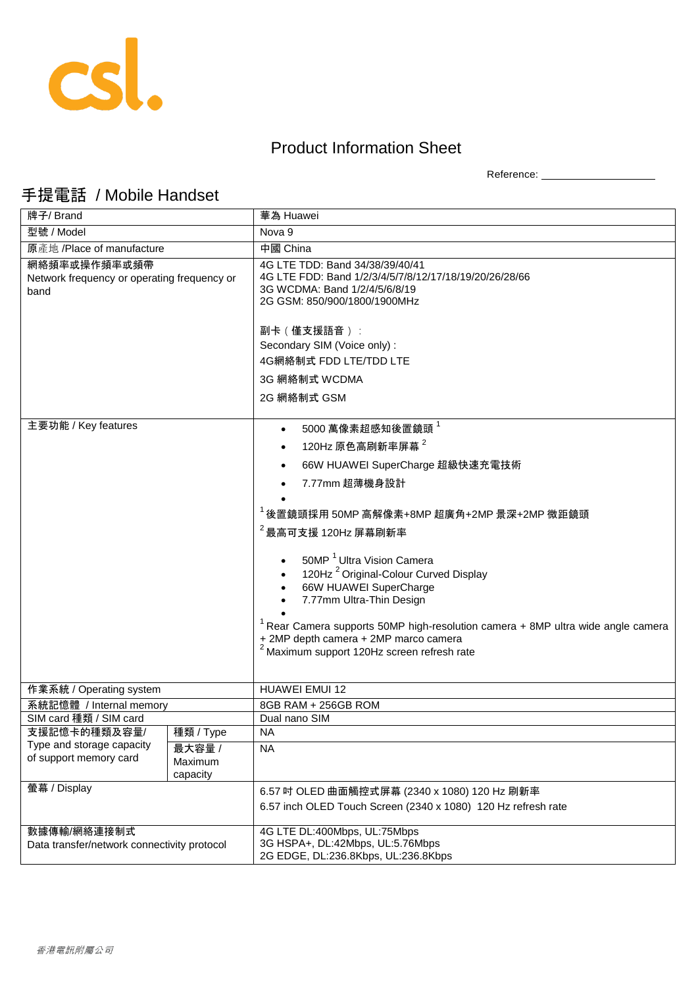

## Product Information Sheet

Reference: \_\_\_\_\_\_\_\_\_\_\_\_\_\_\_\_\_\_\_\_

## 手提電話 / Mobile Handset

| 牌子/ Brand                                                           |                               | 華為 Huawei                                                                                                                                                                                                                                                                                                                                   |
|---------------------------------------------------------------------|-------------------------------|---------------------------------------------------------------------------------------------------------------------------------------------------------------------------------------------------------------------------------------------------------------------------------------------------------------------------------------------|
| 型號 / Model                                                          |                               | Nova 9                                                                                                                                                                                                                                                                                                                                      |
| 原產地 /Place of manufacture                                           |                               | 中國 China                                                                                                                                                                                                                                                                                                                                    |
| 網絡頻率或操作頻率或頻帶<br>Network frequency or operating frequency or<br>band |                               | 4G LTE TDD: Band 34/38/39/40/41<br>4G LTE FDD: Band 1/2/3/4/5/7/8/12/17/18/19/20/26/28/66<br>3G WCDMA: Band 1/2/4/5/6/8/19<br>2G GSM: 850/900/1800/1900MHz<br>副卡 (僅支援語音):<br>Secondary SIM (Voice only) :<br>4G網絡制式 FDD LTE/TDD LTE<br>3G 網絡制式 WCDMA<br>2G 網絡制式 GSM                                                                         |
| 主要功能 / Key features                                                 |                               | 5000萬像素超感知後置鏡頭                                                                                                                                                                                                                                                                                                                              |
|                                                                     |                               | 120Hz 原色高刷新率屏幕 $^2$                                                                                                                                                                                                                                                                                                                         |
|                                                                     |                               | 66W HUAWEI SuperCharge 超級快速充電技術                                                                                                                                                                                                                                                                                                             |
|                                                                     |                               | 7.77mm 超薄機身設計                                                                                                                                                                                                                                                                                                                               |
|                                                                     |                               |                                                                                                                                                                                                                                                                                                                                             |
|                                                                     |                               | $^1$ 後置鏡頭採用 50MP 高解像素+8MP 超廣角+2MP 景深+2MP 微距鏡頭                                                                                                                                                                                                                                                                                               |
|                                                                     |                               | $2$ 最高可支援 120Hz 屏幕刷新率                                                                                                                                                                                                                                                                                                                       |
|                                                                     |                               | 50MP <sup>1</sup> Ultra Vision Camera<br>120Hz <sup>2</sup> Original-Colour Curved Display<br>66W HUAWEI SuperCharge<br>7.77mm Ultra-Thin Design<br>$1$ Rear Camera supports 50MP high-resolution camera $+$ 8MP ultra wide angle camera<br>+ 2MP depth camera + 2MP marco camera<br><sup>2</sup> Maximum support 120Hz screen refresh rate |
| 作業系統 / Operating system                                             |                               | HUAWEI EMUI 12                                                                                                                                                                                                                                                                                                                              |
| 系統記憶體 / Internal memory                                             |                               | 8GB RAM + 256GB ROM                                                                                                                                                                                                                                                                                                                         |
| SIM card 種類 / SIM card                                              |                               | Dual nano SIM                                                                                                                                                                                                                                                                                                                               |
| 支援記憶卡的種類及容量/<br>Type and storage capacity                           | 種類 / Type                     | <b>NA</b>                                                                                                                                                                                                                                                                                                                                   |
| of support memory card                                              | 最大容量 /<br>Maximum<br>capacity | <b>NA</b>                                                                                                                                                                                                                                                                                                                                   |
| 螢幕 / Display                                                        |                               | 6.57 吋 OLED 曲面觸控式屏幕 (2340 x 1080) 120 Hz 刷新率                                                                                                                                                                                                                                                                                                |
|                                                                     |                               | 6.57 inch OLED Touch Screen (2340 x 1080) 120 Hz refresh rate                                                                                                                                                                                                                                                                               |
| 數據傳輸/網絡連接制式<br>Data transfer/network connectivity protocol          |                               | 4G LTE DL:400Mbps, UL:75Mbps<br>3G HSPA+, DL:42Mbps, UL:5.76Mbps<br>2G EDGE, DL:236.8Kbps, UL:236.8Kbps                                                                                                                                                                                                                                     |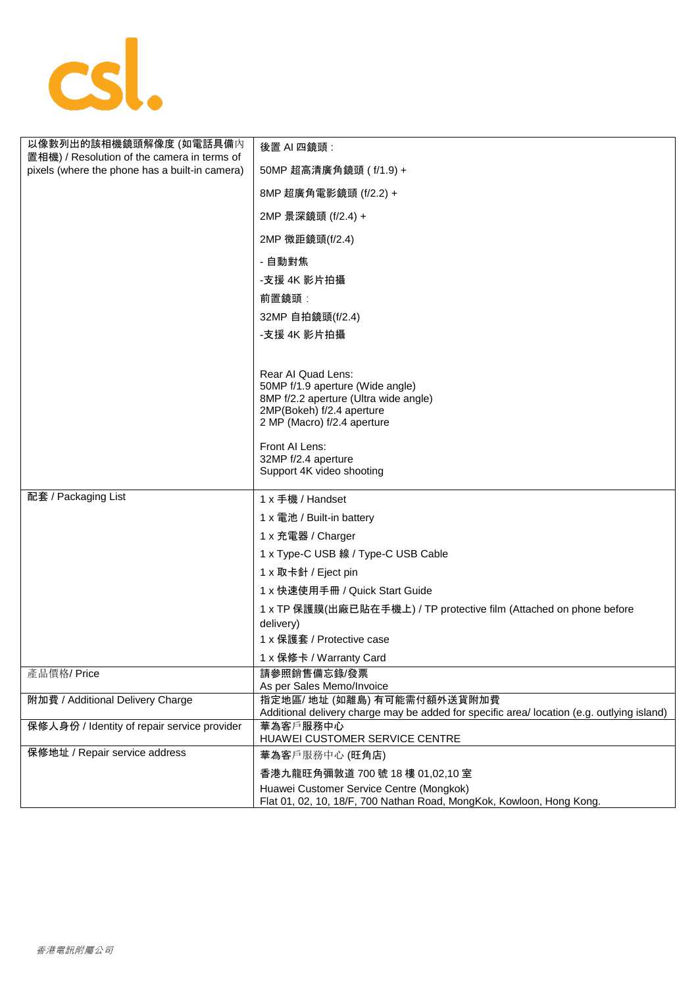

| 以像數列出的該相機鏡頭解像度 (如電話具備內                                                                        | 後置 AI 四鏡頭:                                                                                                                |
|-----------------------------------------------------------------------------------------------|---------------------------------------------------------------------------------------------------------------------------|
| 置相機) / Resolution of the camera in terms of<br>pixels (where the phone has a built-in camera) | 50MP 超高清廣角鏡頭 ( f/1.9) +                                                                                                   |
|                                                                                               | 8MP 超廣角電影鏡頭 (f/2.2) +                                                                                                     |
|                                                                                               | 2MP 景深鏡頭 (f/2.4) +                                                                                                        |
|                                                                                               | 2MP 微距鏡頭(f/2.4)                                                                                                           |
|                                                                                               | - 自動對焦                                                                                                                    |
|                                                                                               | -支援 4K 影片拍攝                                                                                                               |
|                                                                                               | 前置鏡頭:                                                                                                                     |
|                                                                                               | 32MP 自拍鏡頭(f/2.4)                                                                                                          |
|                                                                                               | -支援 4K 影片拍攝                                                                                                               |
|                                                                                               |                                                                                                                           |
|                                                                                               | Rear AI Quad Lens:                                                                                                        |
|                                                                                               | 50MP f/1.9 aperture (Wide angle)<br>8MP f/2.2 aperture (Ultra wide angle)                                                 |
|                                                                                               | 2MP(Bokeh) f/2.4 aperture                                                                                                 |
|                                                                                               | 2 MP (Macro) f/2.4 aperture                                                                                               |
|                                                                                               | Front AI Lens:                                                                                                            |
|                                                                                               | 32MP f/2.4 aperture<br>Support 4K video shooting                                                                          |
|                                                                                               |                                                                                                                           |
| 配套 / Packaging List                                                                           | 1 x 手機 / Handset                                                                                                          |
|                                                                                               | 1 x 電池 / Built-in battery                                                                                                 |
|                                                                                               | 1 x 充電器 / Charger                                                                                                         |
|                                                                                               | 1 x Type-C USB 線 / Type-C USB Cable                                                                                       |
|                                                                                               | 1 x 取卡針 / Eject pin                                                                                                       |
|                                                                                               | 1 x 快速使用手冊 / Quick Start Guide                                                                                            |
|                                                                                               | 1 x TP 保護膜(出廠已貼在手機上) / TP protective film (Attached on phone before                                                       |
|                                                                                               | delivery)<br>1 x 保護套 / Protective case                                                                                    |
|                                                                                               | 1 x 保修卡 / Warranty Card                                                                                                   |
| 產品價格/Price                                                                                    | 請參照銷售備忘錄/發票                                                                                                               |
|                                                                                               | As per Sales Memo/Invoice                                                                                                 |
| 附加費 / Additional Delivery Charge                                                              | 指定地區/ 地址 (如離島) 有可能需付額外送貨附加費<br>Additional delivery charge may be added for specific area/ location (e.g. outlying island) |
| 保修人身份 / Identity of repair service provider                                                   | 華為客戶服務中心                                                                                                                  |
|                                                                                               | HUAWEI CUSTOMER SERVICE CENTRE                                                                                            |
| 保修地址 / Repair service address                                                                 | 華為客戶服務中心 (旺角店)                                                                                                            |
|                                                                                               | 香港九龍旺角彌敦道 700號 18樓 01,02,10室                                                                                              |
|                                                                                               | Huawei Customer Service Centre (Mongkok)<br>Flat 01, 02, 10, 18/F, 700 Nathan Road, MongKok, Kowloon, Hong Kong.          |